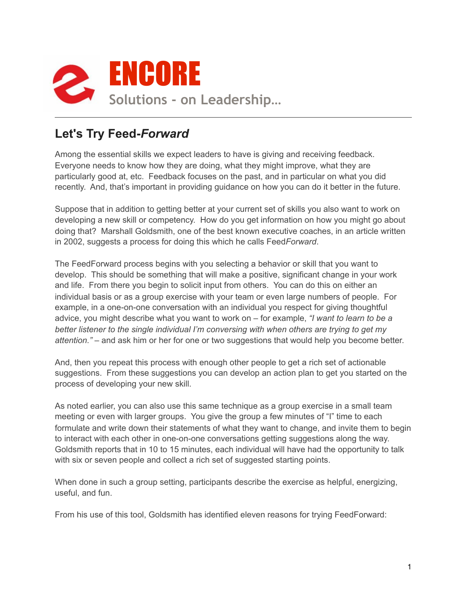

## **Let's Try Feed-***Forward*

Among the essential skills we expect leaders to have is giving and receiving feedback. Everyone needs to know how they are doing, what they might improve, what they are particularly good at, etc. Feedback focuses on the past, and in particular on what you did recently. And, that's important in providing guidance on how you can do it better in the future.

Suppose that in addition to getting better at your current set of skills you also want to work on developing a new skill or competency. How do you get information on how you might go about doing that? Marshall Goldsmith, one of the best known executive coaches, in an article written in 2002, suggests a process for doing this which he calls Feed*Forward*.

The FeedForward process begins with you selecting a behavior or skill that you want to develop. This should be something that will make a positive, significant change in your work and life. From there you begin to solicit input from others. You can do this on either an individual basis or as a group exercise with your team or even large numbers of people. For example, in a one-on-one conversation with an individual you respect for giving thoughtful advice, you might describe what you want to work on – for example, *"I want to learn to be a better listener to the single individual I'm conversing with when others are trying to get my attention."* – and ask him or her for one or two suggestions that would help you become better.

And, then you repeat this process with enough other people to get a rich set of actionable suggestions. From these suggestions you can develop an action plan to get you started on the process of developing your new skill.

As noted earlier, you can also use this same technique as a group exercise in a small team meeting or even with larger groups. You give the group a few minutes of "I" time to each formulate and write down their statements of what they want to change, and invite them to begin to interact with each other in one-on-one conversations getting suggestions along the way. Goldsmith reports that in 10 to 15 minutes, each individual will have had the opportunity to talk with six or seven people and collect a rich set of suggested starting points.

When done in such a group setting, participants describe the exercise as helpful, energizing, useful, and fun.

From his use of this tool, Goldsmith has identified eleven reasons for trying FeedForward: